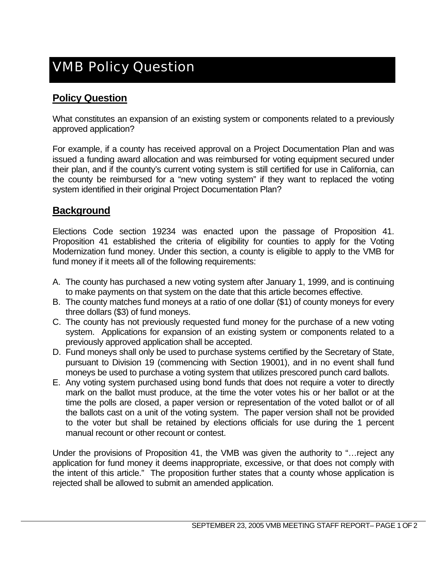## VMB Policy Question

## **Policy Question**

What constitutes an expansion of an existing system or components related to a previously approved application?

For example, if a county has received approval on a Project Documentation Plan and was issued a funding award allocation and was reimbursed for voting equipment secured under their plan, and if the county's current voting system is still certified for use in California, can the county be reimbursed for a "new voting system" if they want to replaced the voting system identified in their original Project Documentation Plan?

## **Background**

Elections Code section 19234 was enacted upon the passage of Proposition 41. Proposition 41 established the criteria of eligibility for counties to apply for the Voting Modernization fund money. Under this section, a county is eligible to apply to the VMB for fund money if it meets all of the following requirements:

- A. The county has purchased a new voting system after January 1, 1999, and is continuing to make payments on that system on the date that this article becomes effective.
- B. The county matches fund moneys at a ratio of one dollar (\$1) of county moneys for every three dollars (\$3) of fund moneys.
- C. The county has not previously requested fund money for the purchase of a new voting system. Applications for expansion of an existing system or components related to a previously approved application shall be accepted.
- D. Fund moneys shall only be used to purchase systems certified by the Secretary of State, pursuant to Division 19 (commencing with Section 19001), and in no event shall fund moneys be used to purchase a voting system that utilizes prescored punch card ballots.
- E. Any voting system purchased using bond funds that does not require a voter to directly mark on the ballot must produce, at the time the voter votes his or her ballot or at the time the polls are closed, a paper version or representation of the voted ballot or of all the ballots cast on a unit of the voting system. The paper version shall not be provided to the voter but shall be retained by elections officials for use during the 1 percent manual recount or other recount or contest.

Under the provisions of Proposition 41, the VMB was given the authority to "…reject any application for fund money it deems inappropriate, excessive, or that does not comply with the intent of this article." The proposition further states that a county whose application is rejected shall be allowed to submit an amended application.